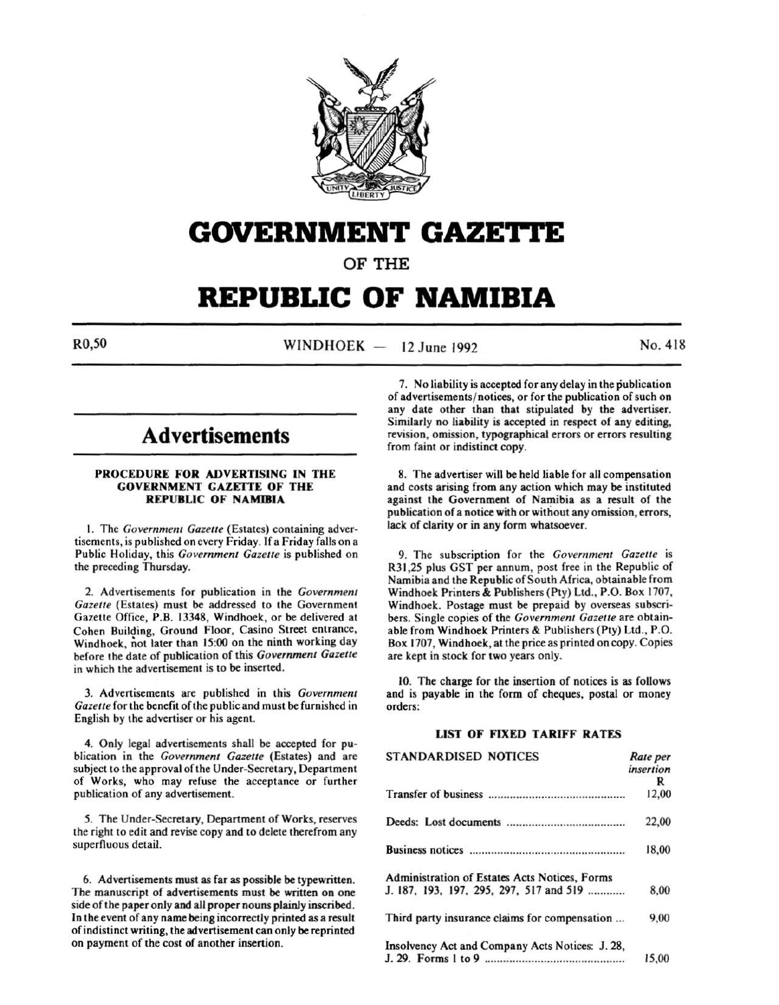

## **GOVERNMENT GAZE1.1'E**

OF THE

## **REPUBLIC OF NAMIBIA**

 $R0,50$  WINDHOEK - 12 June 1992 No. 418

## **Advertisements**

### PROCEDURE FOR ADVERTISING IN THE GOVERNMENT GAZETTE OF THE REPUBLIC OF NAMIBIA

I. The *Government Gazelle* (Estates) containing advertisements, is published on every Friday. If a Friday falls on a Public Holiday, this *Government Gazelle* is published on the preceding Thursday.

2. Advertisements for publication in the *Government Gazelle* (Estates) must be addressed to the Government Gazette Office, P.B. 13348, Windhoek, or be delivered at Cohen Building, Ground Floor, Casino Street entrance, Windhoek, not later than 15:00 on the ninth working day before the date of publication of this *Government Gazelle*  in which the advertisement is to be inserted.

3. Advertisements are published in this *Government*  Gazette for the benefit of the public and must be furnished in English by the advertiser or his agent.

4. Only legal advertisements shall be accepted for publication in the *Government Gazelle* (Estates) and are subject to the approval of the Under-Secretary, Department of Works, who may refuse the acceptance or further publication of any advertisement.

*5.* The Under-Secretary, Department of Works, reserves the right to edit and revise copy and to delete therefrom any superfluous detail.

6. Advertisements must as far as possible be typewritten. The manuscript of advertisements must be written on one side of the paper only and all proper nouns plainly inscribed. In the event of any name being incorrectly printed as a result of indistinct writing, the advertisement can only be reprinted on payment of the cost of another insertion.

7. No liability is accepted for any delay in the publication of advertisements/ notices, or for the publication of such on any date other than that stipulated by the advertiser. Similarly no liability is accepted in respect of any editing, revision, omission, typographical errors or errors resulting from faint or indistinct copy.

8. The advertiser will be held liable for all compensation and costs arising from any action which may be instituted against the Government of Namibia as a result of the publication of a notice with or without any omission, errors, lack of clarity or in any form whatsoever.

9. The subscription for the *Government Gazelle* is R31,25 plus GST per annum, post free in the Republic of Namibia and the Republic of South Africa, obtainable from Windhoek Printers & Publishers (Pty) Ltd., P.O. Box 1707, Windhoek. Postage must be prepaid by overseas subscribers. Single copies of the *Government Gazette* are obtainable from Windhoek Printers & Publishers (Pty) Ltd., P.O. Box 1707, Windhoek, at the price as printed on copy. Copies are kept in stock for two years only.

10. The charge for the insertion of notices is as follows and is payable in the form of cheques, postal or money orders:

### LIST OF FIXED TARIFF RATES

| STANDARDISED NOTICES                                                                     | Rate per<br>insertion<br>R |
|------------------------------------------------------------------------------------------|----------------------------|
|                                                                                          | 12,00                      |
|                                                                                          | 22,00                      |
|                                                                                          | 18,00                      |
| Administration of Estates Acts Notices, Forms<br>J. 187, 193, 197, 295, 297, 517 and 519 | 8,00                       |
| Third party insurance claims for compensation                                            | 9,00                       |
| Insolvency Act and Company Acts Notices: J. 28,                                          | 15,00                      |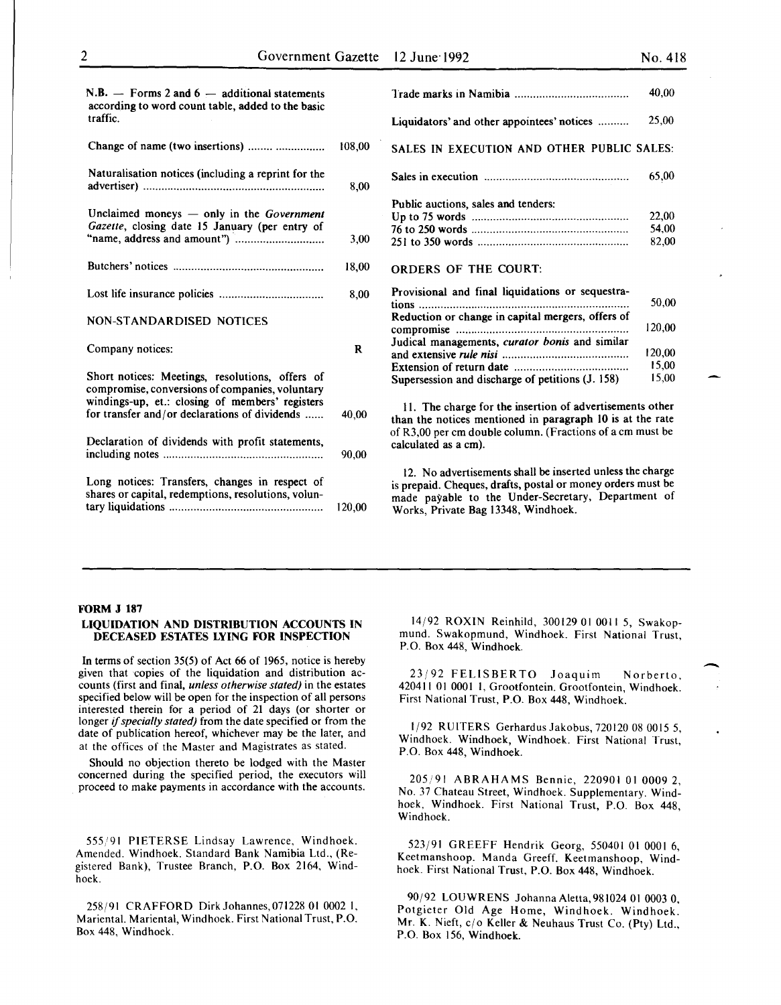| $N.B.$ - Forms 2 and 6 - additional statements<br>according to word count table, added to the basic<br>traffic.                                                                                        |        |
|--------------------------------------------------------------------------------------------------------------------------------------------------------------------------------------------------------|--------|
| Change of name (two insertions)                                                                                                                                                                        | 108,00 |
| Naturalisation notices (including a reprint for the                                                                                                                                                    | 8.00   |
| Unclaimed moneys - only in the Government<br>Gazette, closing date 15 January (per entry of                                                                                                            | 3,00   |
|                                                                                                                                                                                                        | 18,00  |
|                                                                                                                                                                                                        | 8,00   |
| <b>NON-STANDARDISED NOTICES</b>                                                                                                                                                                        |        |
| Company notices:                                                                                                                                                                                       | R      |
| Short notices: Meetings, resolutions, offers of<br>compromise, conversions of companies, voluntary<br>windings-up, et.: closing of members' registers<br>for transfer and/or declarations of dividends | 40,00  |
| Declaration of dividends with profit statements,                                                                                                                                                       | 90,00  |
| Long notices: Transfers, changes in respect of<br>shares or capital, redemptions, resolutions, volun-                                                                                                  | 120,00 |

|                                                                                                       | 40.00                    |
|-------------------------------------------------------------------------------------------------------|--------------------------|
| Liquidators' and other appointees' notices                                                            | 25,00                    |
| SALES IN EXECUTION AND OTHER PUBLIC SALES:                                                            |                          |
|                                                                                                       | 65,00                    |
| Public auctions, sales and tenders:                                                                   | 22,00<br>54,00<br>82,00  |
| <b>ORDERS OF THE COURT:</b>                                                                           |                          |
| Provisional and final liquidations or sequestra-<br>Reduction or change in capital mergers, offers of | 50,00<br>120,00          |
| Judical managements, curator bonis and similar<br>Supersession and discharge of petitions (J. 158)    | 120.00<br>15,00<br>15,00 |

II. The charge for the insertion of advertisements other than the notices mentioned in paragraph 10 is at the rate of R3,00 per em double column. (Fractions of a em must be calculated as a em).

12. No advertisements shall be inserted unless the charge is prepaid. Cheques, drafts, postal or money orders must be made payable to the Under-Secretary, Department of Works, Private Bag 13348, Windhoek..

### FORM J 187

### LIQUIDATION AND DISTRIBUTION ACCOUNTS IN DECEASED ESTATES LYING FOR INSPECTION

In terms of section 35(5) of Act 66 of 1965, notice is hereby given that copies of the liquidation and distribution accounts (first and final, *unless otherwise stated)* in the estates specified below will be open for the inspection of all persons interested therein for a period of 21 days (or shorter or longer if *specially stated)* from the date specified or from the date of publication hereof, whichever may be the later, and at the offices of the Master and Magistrates as stated.

Should no objection thereto be lodged with the Master concerned during the specified period, the executors will proceed to make payments in accordance with the accounts.

555/91 PIETERSE Lindsay Lawrence, Windhoek. Amended. Windhoek. Standard Bank Namibia Ltd., (Registered Bank), Trustee Branch, P.O. Box 2164, Windhoek.

258/91 CRAFFORD DirkJohannes,071228 01 0002 I, Mariental. Mariental, Windhoek. First National Trust, P.O. Box 448, Windhoek.

14/92 ROXIN Reinhild, 300129 01 0011 *5,* Swakopmund. Swakopmund, Windhoek. First National Trust, P.O. Box 448, Windhoek.

23/92 FELISBERTO Joaquim Norberto, 420411 01 0001 I, Grootfontein. Grootfontein, Windhoek. First National Trust, P.O. Box 448, Windhoek.

1/92 RUITERS GerhardusJakobus, 720120 08 0015 *5,*  Windhoek. Windhoek. Windhoek. First National Trust, P.O. Box 448, Windhoek.

205/91 ABRAHAMS Bennie, 220901 01 0009 2, No. 37 Chateau Street, Windhoek. Supplementary. Windhoek, Windhoek. First National Trust, P.O. Box 448, Windhoek.

523/91 GREEFF Hendrik Georg, 550401 01 0001 6, Keetmanshoop. Manda Greeff. Keetmanshoop, Windhoek. First National Trust, P.O. Box 448, Windhoek.

90/92 LOUWRENS JohannaAletta,981024 01 0003 0, Potgieter Old Age Home, Windhoek. Windhoek. Mr. K. Nieft, c/o Keller & Neuhaus Trust Co. (Pty) Ltd., P.O. Box 156, Windhoek.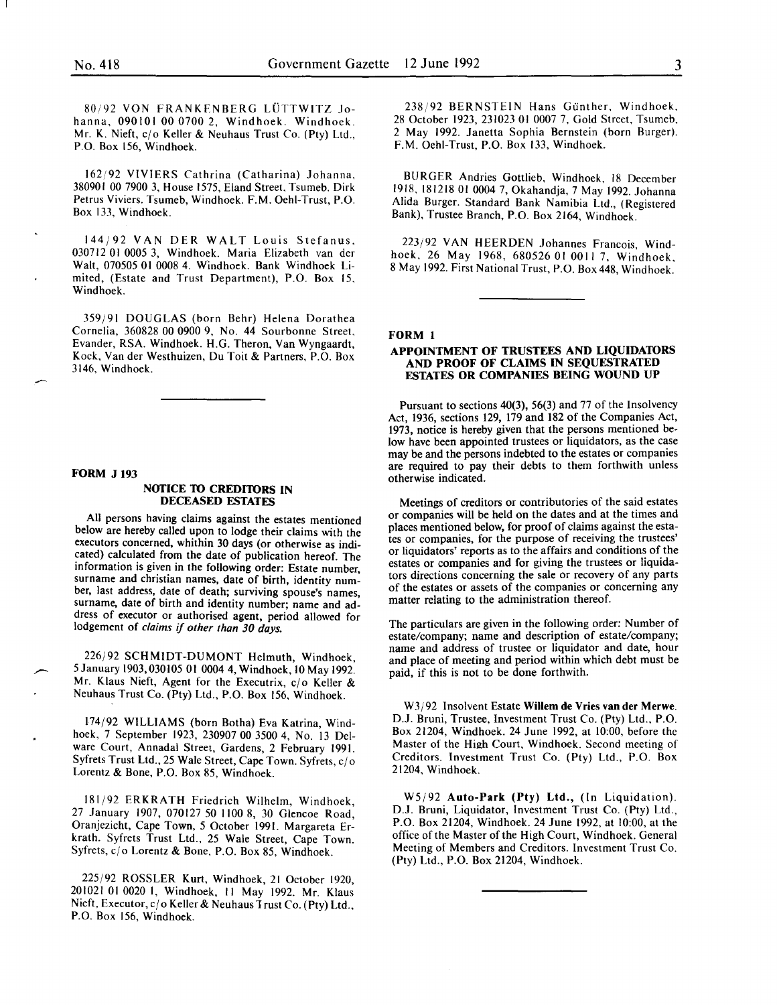80/92 VON FRANKFNBERG LUTTWITZ Johanna, 090101 00 0700 2, Windhoek. Windhoek. Mr. K. Nieft, cjo Keller & Neuhaus Trust Co. (Pty) Ltd., P.O. Box 156, Windhoek.

162/92 VIVIERS Cathrina (Catharina) Johanna, 380901 00 7900 3, House 1575, Eland Street, Tsumeb. Dirk Petrus Viviers. Tsumeb, Windhoek. F.M. Oehl-Trust, P.O. Box 133, Windhoek.

144/92 VANDER WALT Louis Stefanus 030712 01 0005 3, Windhoek. Maria Elizabeth van de; Walt, 070505 01 0008 4. Windhoek. Bank Windhoek Limited, (Estate and Trust Department), P.O. Box 15, Windhoek.

359/91 DOUGLAS (born Behr) Helena Dorathea Cornelia, 360828 00 0900 9, No. 44 Sourbonne Street, Evander, RSA. Windhoek. H.G. Theron, Van Wyngaardt, Kock, Vander Westhuizen, Du Toit & Partners, P.O. Box 3146, Windhoek.

### FORM J 193

#### NOTICE TO CREDITORS IN DECEASED ESTATES

All persons having claims against the estates mentioned below are hereby called upon to lodge their claims with the executors concerned, whithin 30 days (or otherwise as indicated) calculated from the date of publication hereof. The information is given in the following order: Estate number surname and christian names, date of birth, identity number, last address, date of death; surviving spouse's names surname, date of birth and identity number; name and ad-<br>dress of executor or authorised agent, period allowed for lodgement of *claims* if *other than 30 days.* 

226/92 SCHMIDT-DUMONT Helmuth, Windhoek, 5 January 1903, 030105 01 0004 4, Windhoek, 10 May 1992. Mr. Klaus Nieft, Agent for the Executrix,  $c/o$  Keller & Neuhaus Trust Co. (Pty) Ltd., P.O. Box 156, Windhoek.

174/92 WILLIAMS (born Botha) Eva Katrina, Windhoek, 7 September 1923, 230907 00 3500 4, No. 13 Delware Court, Annadal Street, Gardens, 2 February 1991. Syfrets Trust Ltd., 25 Wale Street, Cape Town. Syfrets, c/o Lorentz & Bone, P.O. Box 85, Windhoek.

181/92 ERKRATH Friedrich Wilhelm, Windhoek, 27 January 1907, 070127 50 1100 8, 30 Glencoe Road' Oranjezicht, Cape Town, 5 October 1991. Margareta Er~ krath. Syfrets Trust Ltd., 25 Wale Street, Cape Town. Syfrets, c/o Lorentz & Bone, P.O. Box 85, Windhoek.

225/92 ROSSLER Kurt, Windhoek, 21 October 1920, 201021 01 0020 1, Windhoek, 11 May 1992. Mr. Klaus Nieft, Executor, c/o Keller & Neuhaus Trust Co. (Pty) Ltd., P.O. Box 156, Windhoek.

238/92 BERNSTEIN Hans Gunther, Windhoek. 28 October 1923, 231023 01 0007 7, Gold Street, Tsumeb, 2 May 1992. Janetta Sophia Bernstein (born Burger). F.M. Oehl-Trust, P.O. Box 133, Windhoek.

BURGER Andries Gottlieb, Windhoek, 18 December 19!8, 181218 01 0004 7, Okahandja, 7 May 1992. Johanna Ahda Burger. Standard Bank Namibia Ltd., (Registered Bank), Trustee Branch, P.O. Box 2164, Windhoek.

223/92 VAN HEERDEN Johannes Francois, Windhoek, 26 May 1968, 680526 01 0011 7. Windhoek. 8 May 1992. First National Trust, P.O. Box 448, Windhoek.'

### FORM 1

### APPOINTMENT OF TRUSTEES AND LIQUIDATORS AND PROOF OF CLAIMS IN SEQUESTRATED ESTATES OR COMPANIES BEING WOUND UP

Pursuant to sections 40(3), 56(3) and 77 of the Insolvency Act, 1936, sections 129, 179 and 182 of the Companies Act, 1973, notice is hereby given that the persons mentioned below have been appointed trustees or liquidators, as the case may be and the persons indebted to the estates or companies are required to pay their debts to them forthwith unless otherwise indicated.

Meetings of creditors or contributories of the said estates or companies will be held on the dates and at the times and places mentioned below, for proof of claims against the estates or companies, for the purpose of receiving the trustees' or liquidators' reports as to the affairs and conditions of the estates or companies and for giving the trustees or liquidators directions concerning the sale or recovery of any parts of the estates or assets of the companies or concerning any matter relating to the administration thereof.

The particulars are given in the following order: Number of estate/company; name and description of estate/company; name and address of trustee or liquidator and date, hour and place of meeting and period within which debt must be paid, if this is not to be done forthwith.

W3j92 Insolvent Estate Willem de Vries van der Merwe. D.J. Bruni, Trustee, Investment Trust Co. (Pty) Ltd., P.O. Box 21204, Windhoek. 24 June 1992, at 10:00, before the Master of the High Court, Windhoek. Second meeting of Creditors. Investment Trust Co. (Pty) Ltd., P.O. Box 21204, Windhoek.

W5/92 Auto-Park (Pty) Ltd., (In Liquidation). D.J. Bruni, Liquidator, Investment Trust Co. (Pty) Ltd., P.O. Box 21204, Windhoek. 24 June 1992, at 10:00, at the office of the Master of the High Court, Windhoek. General Meeting of Members and Creditors. Investment Trust Co. (Pty) Ltd., P.O. Box 21204, Windhoek.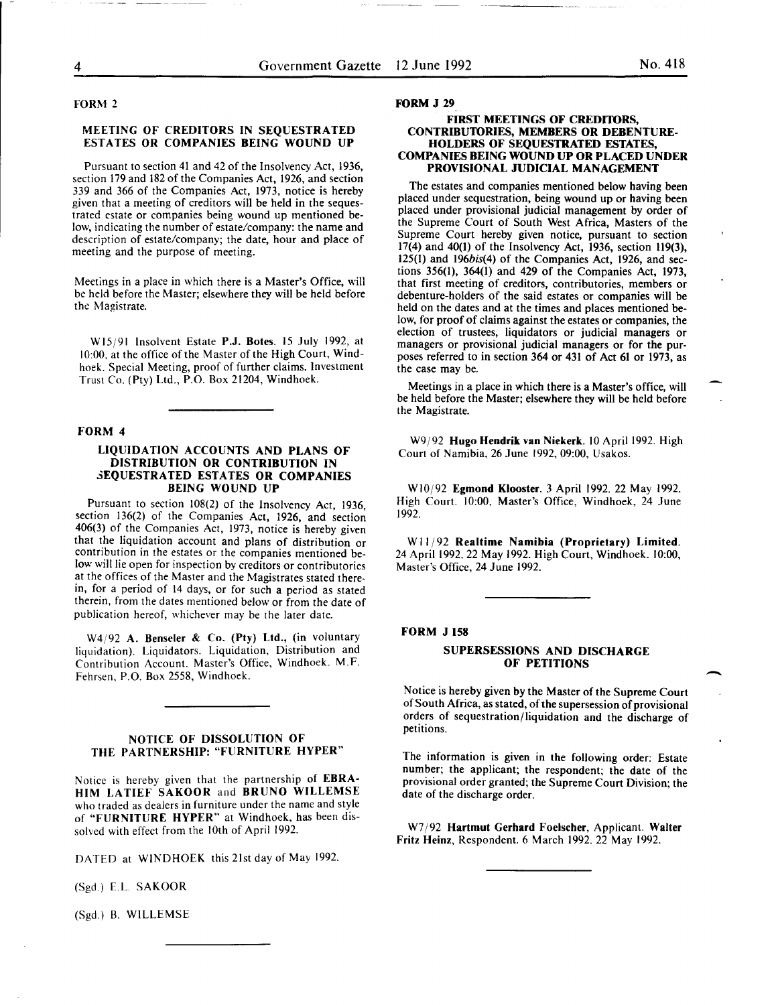### FORM 2

### MEETING OF CREDITORS IN SEQUESTRATED ESTATES OR COMPANIES BEING WOUND UP

Pursuant to section 41 and 42 of the Insolvency Act, 1936, section 179 and 182 of the Companies Act, 1926, and section 339 and 366 of the Companies Act, 1973, notice is hereby given that a meeting of creditors will be held in the sequestrated estate or companies being wound up mentioned below, indicating the number of estate/company: the name and description of estate/company; the date, hour and place of meeting and the purpose of meeting.

Meetings in a place in which there is a Master's Office, will be held before the Master; elsewhere they will be held before the Magistrate.

Wl5j91 Insolvent Estate P.J. Botes. 15 July 1992, at 10:00, at the office of the Master of the High Court, Windhoek. Special Meeting, proof of further claims. Investment Trust Co. (Pty) Ltd., P.O. Box 21204, Windhoek.

#### FORM 4

### LIQUIDATION ACCOUNTS AND PLANS OF DISTRIBUTION OR CONTRIBUTION IN SEQUESTRATED ESTATES OR COMPANIES BEING WOUND UP

Pursuant to section 108(2) of the Insolvency Act, 1936, section 136(2) of the Companies Act, 1926, and section 406(3) of the Companies Act, 1973, notice is hereby given that the liquidation account and plans of distribution or contribution in the estates or the companies mentioned below will lie open for inspection by creditors or contributories at the offices of the Master and the Magistrates stated therein, for a period of 14 days, or for such a period as stated therein, from the dates mentioned below or from the date of publication hereof, whichever may be the later date.

W4/92 A. Benseler & Co. (Pty) Ltd., (in voluntary liquidation). Liquidators. Liquidation, Distribution and Contribution Account. Master's Office, Windhoek. M.F. Fehrsen, P.O. Box 2558, Windhoek.

### NOTICE OF DISSOLUTION OF THE PARTNERSHIP: "FURNITURE HYPER"

Notice is hereby given that the partnership of EBRA-HIM LATIEF SAKOOR and BRUNO WILLEMSE who traded as dealers in furniture under the name and style of "FURNITURE HYPER" at Windhoek, has been dissolved with effect from the lOth of April 1992.

DATED at WINDHOEK this 21st day of May 1992.

(Sgd.) E.L. SAKOOR

(Sgd.) B. WILLEMSE

#### FORM J 29

### FIRST MEETINGS OF CREDITORS, CONTRIBUTORIES, MEMBERS OR DEBENTURE-HOLDERS OF SEQUESTRATED ESTATES, COMPANIES BEING WOUND UP OR PLACED UNDER PROVISIONAL JUDICIAL MANAGEMENT

The estates and companies mentioned below having been placed under sequestration, being wound up or having been placed under provisional judicial management by order of the Supreme Court of South West Africa, Masters of the Supreme Court hereby given notice, pursuant to section 17(4) and 40(1) of the Insolvency Act, 1936, section 119(3), 125(1) and 196bis(4) of the Companies Act, 1926, and sections 356(1), 364(1) and 429 of the Companies Act, 1973, that first meeting of creditors, contributories, members or debenture-holders of the said estates or companies will be held on the dates and at the times and places mentioned below, for proof of claims against the estates or companies, the election of trustees, liquidators or judicial managers or managers or provisional judicial managers or for the purposes referred to in section 364 or 431 of Act 61 or 1973, as the case may be.

Meetings in a place in which there is a Master's office, will be held before the Master; elsewhere they will be held before the Magistrate.

W9/92 Hugo Hendrik van Niekerk. 10 April 1992. High Court of Namibia, 26 June 1992, 09:00, Usakos.

WI0/92 Egmond Klooster. 3 April 1992. 22 May 1992. High Court. 10:00, Master's Office, Windhoek, 24 June 1992.

W 11/92 Realtime Namibia (Proprietary) Limited. 24 April 1992. 22 May 1992. High Court, Windhoek. 10:00, Master's Office, 24 June 1992.

### FORM J 158

### SUPERSESSIONS AND DISCHARGE OF PETITIONS

Notice is hereby given by the Master of the Supreme Court of South Africa, as stated, of the supersession of provisional orders of sequestration/liquidation and the discharge of petitions.

The information is given in the following order: Estate number; the applicant; the respondent; the date of the provisional order granted; the Supreme Court Division; the date of the discharge order.

W7/92 Hartmut Gerhard Foelscher, Applicant. Walter Fritz Heinz, Respondent. 6 March 1992. 22 May 1992.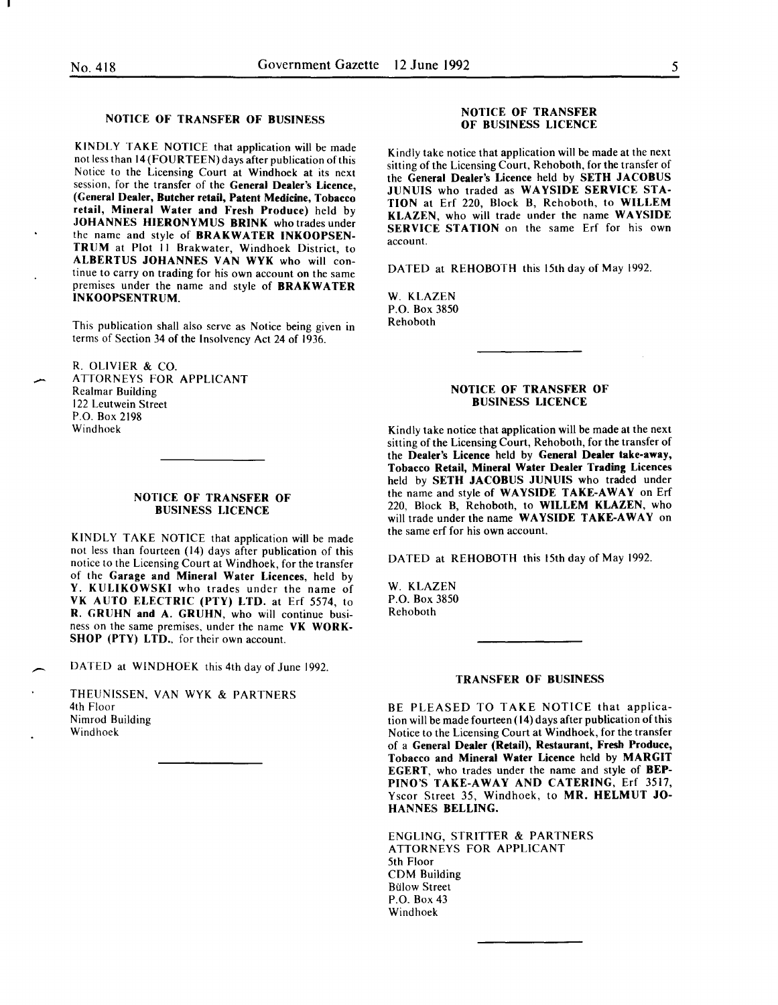### NOTICE OF TRANSFER OF BUSINESS

KINDLY TAKE NOTICE that application will be made not less than 14 (FOURTEEN) days after publication of this Notice to the Licensing Court at Windhoek at its next session, for the transfer of the General Dealer's Licence, (General Dealer, Butcher retail, Patent Medicine, Tobacco retail, Mineral Water and Fresh Produce) held by JOHANNES HIERONYMUS BRINK who trades under the name and style of BRAKWATER INKOOPSEN-TRUM at Plot II Brakwater, Windhoek District, to ALBERTUS JOHANNES VAN WYK who will continue to carry on trading for his own account on the same premises under the name and style of BRAKWATER INKOOPSENTRUM.

This publication shall also serve as Notice being given in terms of Section 34 of the Insolvency Act 24 of 1936.

R. OLIVIER & CO. ATTORNEYS FOR APPLICANT Realmar Building 122 Leutwein Street P.O. Box 2198 Windhoek

### NOTICE OF TRANSFER OF BUSINESS LICENCE

KINDLY TAKE NOTICE that application will be made not less than fourteen (14) days after publication of this notice to the Licensing Court at Windhoek, for the transfer of the Garage and Mineral Water Licences, held by Y. KULIKOWSKI who trades under the name of VK AUTO ELECTRIC (PTY) LTD. at Erf 5574, to R. GRUHN and A. GRUHN, who will continue business on the same premises, under the name VK WORK-SHOP (PTY) LTD., for their own account.

 $\overline{\phantom{a}}$ DATED at WINDHOEK this 4th day of June 1992.

THEUNISSEN, VAN WYK & PARTNERS 4th Floor Nimrod Building Windhoek

### NOTICE OF TRANSFER OF BUSINESS LICENCE

Kindly take notice that application will be made at the next sitting of the Licensing Court, Rehoboth, for the transfer of the General Dealer's Licence held by SETH JACOBUS JUNUIS who traded as WAYSIDE SERVICE STA-TION at Erf 220, Block B, Rehoboth, to WILLEM KLAZEN, who will trade under the name WAYSIDE SERVICE STATION on the same Erf for his own account.

DATED at REHOBOTH this 15th day of May 1992.

W. KLAZEN P.O. Box 3850 Rehoboth

### NOTICE OF TRANSFER OF BUSINESS LICENCE

Kindly take notice that application will be made at the next sitting of the Licensing Court, Rehoboth, for the transfer of the Dealer's Licence held by General Dealer take-away, Tobacco Retail, Mineral Water Dealer Trading Licences held by SETH JACOBUS JUNUIS who traded under the name and style of WAYSIDE TAKE-AWAY on Erf 220, Block B, Rehoboth, to WILLEM KLAZEN, who will trade under the name WAYSIDE TAKE-AWAY on the same erf for his own account.

DATED at REHOBOTH this 15th day of May 1992.

W. KLAZEN P.O. Box 3850 Rehoboth

### TRANSFER OF BUSINESS

BE PLEASED TO TAKE NOTICE that application will be made fourteen ( 14) days after publication of this Notice to the Licensing Court at Windhoek, for the transfer of a General Dealer (Retail), Restaurant, Fresh Produce, Tobacco and Mineral Water Licence held by MARGIT EGERT, who trades under the name and style of BEP-PINO'S TAKE-AWAY AND CATERING, Erf 3517, Yscor Street 35, Windhoek, to MR. HELMUT JO-HANNES BELLING.

ENGLING, STRITTER & PARTNERS ATTORNEYS FOR APPLICANT 5th Floor CDM Building Biilow Street P.O. Box 43 Windhoek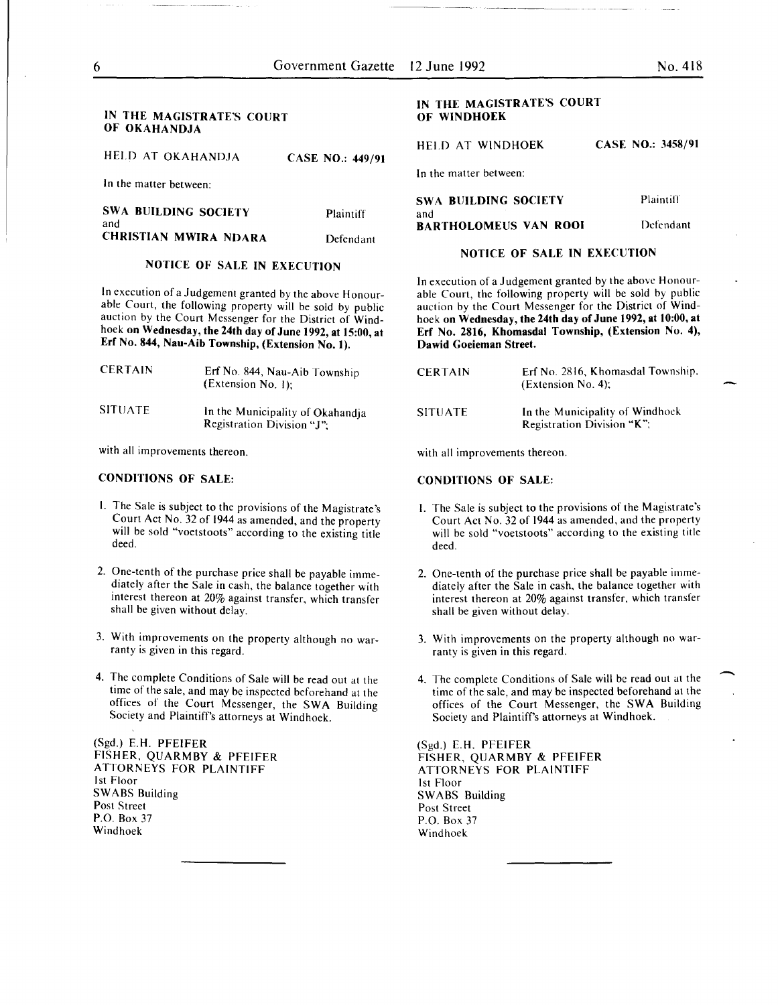### IN THE MAGISTRATE'S COURT OF OKAHANDJA

HELD AT OKAHANDJA CASE NO.: 449/91

In the matter between:

| <b>SWA BUILDING SOCIETY</b><br>and | Plaintiff |
|------------------------------------|-----------|
| <b>CHRISTIAN MWIRA NDARA</b>       | Defendant |

### NOTICE OF SALE IN EXECUTION

In execution of a Judgement granted by the above Honourable Court, the following property will be sold by public auction by the Court Messenger for the District of Windhoek on Wednesday, the 24th day of June 1992, at 15:00, at Erf No. 844, Nau-Aib Township, (Extension No.1).

| <b>CERTAIN</b> | Erf No. 844, Nau-Aib Township<br>(Extension No. 1):            |
|----------------|----------------------------------------------------------------|
| <b>SITUATE</b> | In the Municipality of Okahandja<br>Registration Division "J". |

with all improvements thereon.

### CONDITIONS OF SALE:

- I. The Sale is subject to the provisions of the Magistrate's Court Act No. 32 of 1944 as amended, and the property will be sold "voetstoots" according to the existing title deed.
- 2. One-tenth of the purchase price shall be payable immediately after the Sale in cash, the balance together with interest thereon at 20% against transfer, which transfer shall be given without delay.
- 3. With improvements on the property although no warranty is given in this regard.
- 4. The complete Conditions of Sale will be read out at the time of the sale, and may be inspected beforehand at the offices of the Court Messenger, the SWA Building Society and Plaintiff's attorneys at Windhoek.

(Sgd.) E.H. PFEIFER FISHER, QUARMBY & PFEIFER ATTORNEYS FOR PLAINTIFF 1st Floor SWABS Building Post Street P.O. Box 37 Windhoek

### IN THE MAGISTRATE'S COURT OF WINDHOEK

HELD AT WINDHOEK CASE NO.: 3458/91

In the matter between:

| SWA BUILDING SOCIETY         | Plaintiff |
|------------------------------|-----------|
| and                          |           |
| <b>BARTHOLOMEUS VAN ROOI</b> | Defendant |

### NOTICE OF SALE IN EXECUTION

In execution of a Judgement granted by the above Honourable Court, the following property will be sold by public auction by the Court Messenger for the District of Windhoek on Wednesday, the 24th day of June 1992, at 10:00, at Erf No. 2816, Khomasdal Township, (Extension No. 4), Dawid Goeieman Street.

| <b>CERTAIN</b> | Erf No. 2816, Khomasdal Township,<br>(Extension No. 4):       |
|----------------|---------------------------------------------------------------|
| SITUATE        | In the Municipality of Windhock<br>Registration Division "K"; |

with all improvements thereon.

### CONDITIONS OF SALE:

- I. The Sale is subject to the provisions of the Magistrate's Court Act No. 32 of 1944 as amended, and the property will be sold "voetstoots" according to the existing title deed.
- 2. One-tenth of the purchase price shall be payable immediately after the Sale in cash, the balance together with interest thereon at 20% against transfer. which transfer shall be given without delay.
- 3. With improvements on the property although no warranty is given in this regard.
- 4. The complete Conditions of Sale will be read out at the time of the sale, and may be inspected beforehand at the offices of the Court Messenger, the SWA Building Society and Plaintiff's attorneys at Windhoek.

(Sgd.) E.H. PFEIFER FISHER, QUARMBY & PFEIFER ATTORNEYS FOR PLAINTIFF 1st Floor SWABS Building Post Street P.O. Box 37 Windhoek

-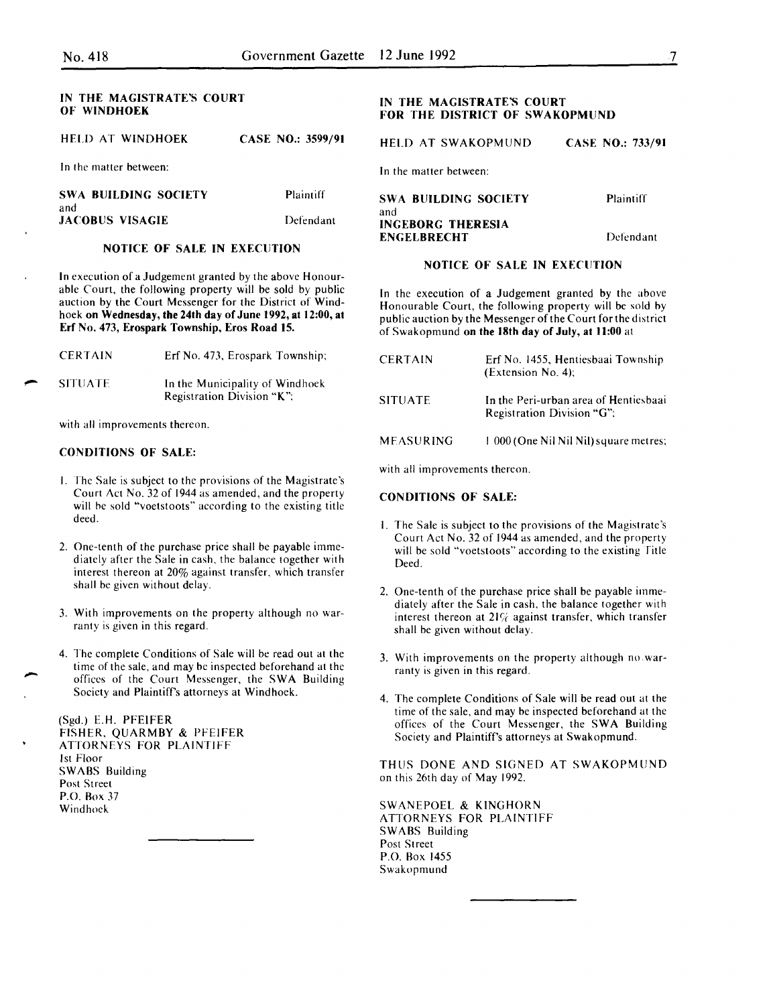| IN THE MAGISTRATE'S COURT<br>OF WINDHOEK |                   | IN THE MAGISTRATE'S COURT<br>FOR THE DISTRICT OF SWAKOPMUND |                         |
|------------------------------------------|-------------------|-------------------------------------------------------------|-------------------------|
| HELD AT WINDHOEK                         | CASE NO.: 3599/91 | <b>HELD AT SWAKOPMUND</b>                                   | <b>CASE NO.: 733/91</b> |
| In the matter between:                   |                   | In the matter between:                                      |                         |
| <b>SWA BUILDING SOCIETY</b><br>and       | <b>Plaintiff</b>  | <b>SWA BUILDING SOCIETY</b>                                 | Plaintiff               |
| <b>JACOBUS VISAGIE</b>                   | Defendant         | and<br><b>INGEBORG THERESIA</b><br><b>ENGELBRECHT</b>       | Defendant               |

## NOTICE OF SALE IN EXECUTION

In execution of a Judgement granted by the above Honourable Court, the following property will be sold by public auction by the Court Messenger for the District of Windhoek on Wednesday, the 24th day of June 1992, at 12:00, at Erf No. 473, Erospark Township, Eros Road 15.

| <b>CERTAIN</b> | Erf No. 473, Erospark Township;                               |
|----------------|---------------------------------------------------------------|
| <b>SITUATE</b> | In the Municipality of Windhoek<br>Registration Division "K"; |

with all improvements thereon.

### CONDITIONS OF SALE:

-

-<br>.<br>.

- I. The Sale is subject to the provisions of the Magistrate's Court Act No. 32 of 1944 as amended, and the property will be sold "voetstoots" according to the existing title deed.
- 2. One-tenth of the purchase price shall be payable immediately after the Sale in cash, the balance together with interest thereon at 20% against transfer, which transfer shall be given without delay.
- 3. With improvements on the property although no warranty is given in this regard.
- 4. The complete Conditions of Sale will be read out at the time of the sale, and may be inspected beforehand at the offices of the Court Messenger, the SWA Building Society and Plaintiffs attorneys at Windhoek.

(Sgd.) E.H. PFEIFER FISHER, QUARMBY & PfEIFER ATTORNEYS FOR PLAINTIFF 1st Floor SWABS Building Post Street P.O. Rox 37 Windhoek

| SWA BUILDING SOCIETY     | Plaintiff |
|--------------------------|-----------|
| and                      |           |
| <b>INGEBORG THERESIA</b> |           |
| <b>ENGELBRECHT</b>       | Defendant |

### NOTICE OF SALE IN EXECUTION

In the execution of a Judgement granted by the above Honourable Court, the following property will be sold by public auction by the Messenger of the Court for the district of Swakopmund on the 18th day of July, at 11:00 at

| <b>CERTAIN</b> | Erf No. 1455, Hentiesbaai Township<br>$(Extension No. 4)$ ;         |
|----------------|---------------------------------------------------------------------|
| <b>SITUATE</b> | In the Peri-urban area of Hentiesbaai<br>Registration Division "G"; |
| MEASURING      | 1 000 (One Nil Nil Nil) square metres;                              |

with all improvements thereon.

### CONDITIONS OF SALE:

- I. The Sale is subject to the provisions of the Magistrate's Court Act No. 32 of 1944 as amended, and the property will be sold "voetstoots" according to the existing Title Deed.
- 2. One-tenth of the purchase price shall be payable immediately after the Sale in cash, the balance together with interest thereon at  $21\%$  against transfer, which transfer shall be given without delay.
- 3. With improvements on the property although no warranty is given in this regard.
- 4. The complete Conditions of Sale will be read out at the time of the sale, and may be inspected beforehand at the offices of the Court Messenger, the SWA Building Society and Plaintiff's attorneys at Swakopmund.

THUS DONE AND SIGNED AT SWAKOPMUND on this 26th day of May 1992.

SWANEPOEL & KINGHORN ATTORNEYS FOR PLAINTIFF SWABS Building Post Street P.O. Rox 1455 Swakopmund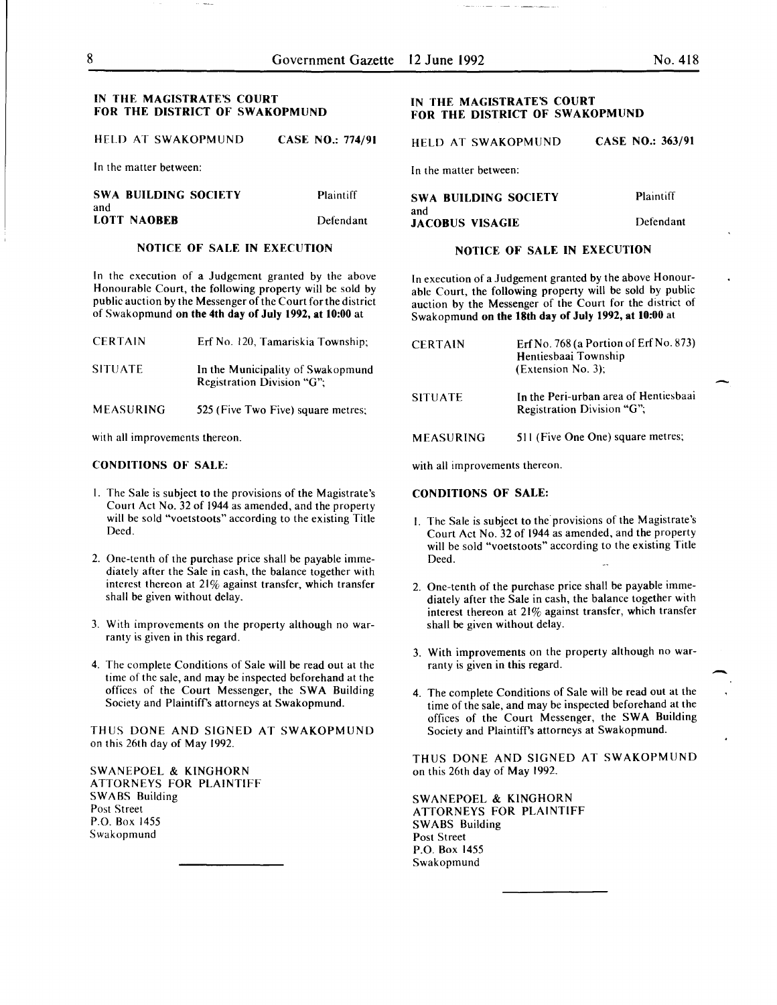### IN THE MAGISTRATE'S COURT FOR THE DISTRICT OF SWAKOPMUND

HELD AT SWAKOPMUND CASE NO.: 774/91

In the matter between:

SWA BUILDING SOCIETY and LOTT NAOBEB Plaintiff Defendant

### NOTICE OF SALE IN EXECUTION

In the execution of a Judgement granted by the above Honourable Court, the following property will be sold by public auction by the Messenger of the Court for the district of Swakopmund on the 4th day of July 1992, at 10:00 at

| <b>CERTAIN</b> | Erf No. 120, Tamariskia Township;                               |
|----------------|-----------------------------------------------------------------|
| <b>SITUATE</b> | In the Municipality of Swakopmund<br>Registration Division "G": |
| MEASURING      | 525 (Five Two Five) square metres;                              |

with all improvements thereon.

### CONDITIONS OF SALE:

- I. The Sale is subject to the provisions of the Magistrate's Court Act No. 32 of 1944 as amended, and the property will be sold "voetstoots" according to the existing Title Deed.
- 2. One-tenth of the purchase price shall be payable immediately after the Sale in cash, the balance together with interest thereon at 21% against transfer, which transfer shall be given without delay.
- 3. With improvements on the property although no warranty is given in this regard.
- 4. The complete Conditions of Sale will be read out at the time of the sale, and may be inspected beforehand at the offices of the Court Messenger, the SWA Building Society and Plaintiffs attorneys at Swakopmund.

THUS DONE AND SIGNED AT SWAKOPMUND on this 26th day of May 1992.

SWANEPOEL & KINGHORN ATTORNEYS FOR PLAINTIFF SWABS Building Post Street P.O. Box 1455 Swakopmund

### IN THE MAGISTRATE'S COURT FOR THE DISTRICT OF SWAKOPMUND

HELD AT SWAKOPMUND CASE NO.: 363/91

In the matter between:

| <b>SWA BUILDING SOCIETY</b> | <b>Plaintiff</b> |
|-----------------------------|------------------|
| and                         |                  |
| <b>JACOBUS VISAGIE</b>      | Defendant        |

### NOTICE OF SALE IN EXECUTION

In execution of a Judgement granted by the above Honourable Court, the following property will be sold by public auction by the Messenger of the Court for the district of Swakopmund on the 18th day of July 1992, at 10:00 at

| <b>CERTAIN</b>   | Erf No. $768$ (a Portion of Erf No. 873)<br>Hentiesbaai Township<br>(Extension No. 3); |
|------------------|----------------------------------------------------------------------------------------|
| <b>SITUATE</b>   | In the Peri-urban area of Hentiesbaai<br>Registration Division "G";                    |
| <b>MEASURING</b> | 511 (Five One One) square metres;                                                      |

with all improvements thereon.

#### CONDITIONS OF SALE:

- I. The Sale is subject to the provisions of the Magistrate's Court Act No. 32 of 1944 as amended, and the property will be sold "voetstoots" according to the existing Title Deed.
- 2. One-tenth of the purchase price shall be payable immediately after the Sale in cash, the balance together with interest thereon at 21% against transfer, which transfer shall be given without delay.
- 3. With improvements on the property although no warranty is given in this regard.
- 4. The complete Conditions of Sale will be read out at the time of the sale, and may be inspected beforehand at the offices of the Court Messenger, the SWA Building Society and Plaintiffs attorneys at Swakopmund.

THUS DONE AND SIGNED AT SWAKOPMUND on this 26th day of May 1992.

SWANEPOEL & KINGHORN ATTORNEYS FOR PLAINTIFF SWABS Building Post Street P.O. Box 1455 Swakopmund

-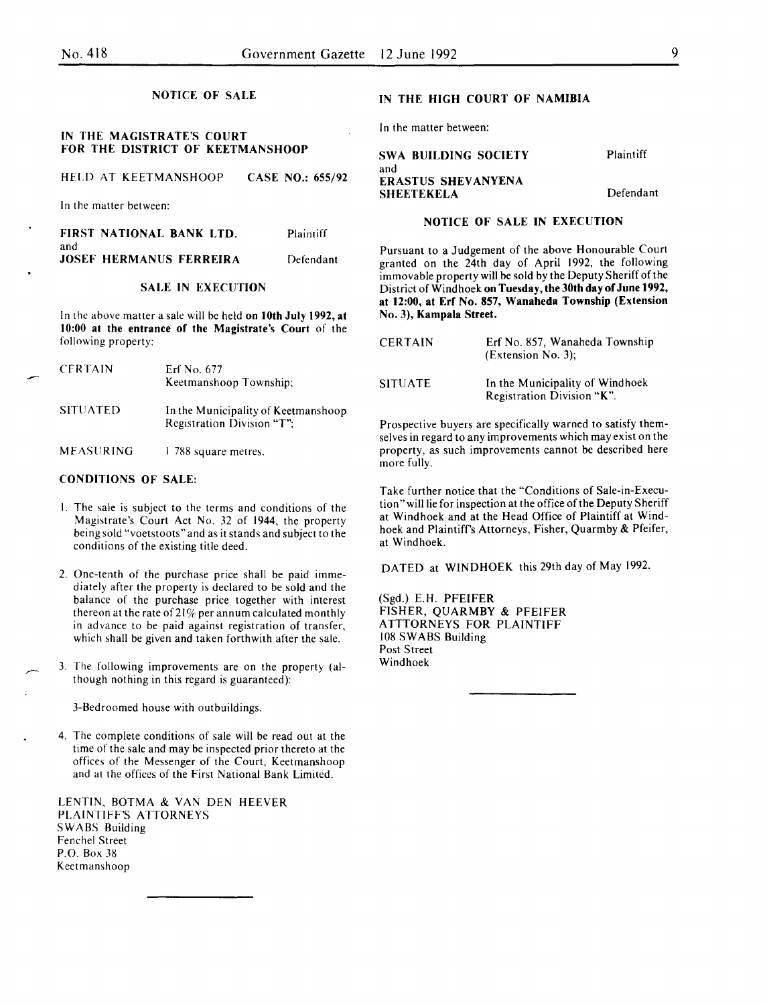NOTICE OF SALE

### IN THE MAGISTRATE'S COURT FOR THE DISTRICT OF KEETMANSHOOP

HELD AT KEETMANSHOOP CASE NO.: 655/92

In the matter between:

| FIRST NATIONAL BANK LTD.       | Plaintiff |
|--------------------------------|-----------|
| and                            |           |
| <b>JOSEF HERMANUS FERREIRA</b> | Defendant |

### SALE IN EXECUTION

In the above matter a sale will be held on 10th July 1992, at 10:00 at the entrance of the Magistrate's Court of the following property:

| <b>CERTAIN</b>  | Erf No. 677<br>Keetmanshoop Township;                             |
|-----------------|-------------------------------------------------------------------|
| <b>SITUATED</b> | In the Municipality of Keetmanshoop<br>Registration Division "T": |

MEASURING I 788 square metres.

### CONDITIONS OF SALE:

- I. The sale is subject to the terms and conditions of the Magistrate's Court Act No. 32 of 1944, the property being sold "voetstoots" and as it stands and subject to the conditions of the existing title deed.
- 2. One-tenth of the purchase price shall be paid immediately after the property is declared to be sold and the balance of the purchase price together with interest thereon at the rate of  $21\%$  per annum calculated monthly in advance to be paid against registration of transfer, which shall be given and taken forthwith after the sale.
- 3. The following improvements are on the property (although nothing in this regard is guaranteed):

3-Bedroomed house with outbuildings.

4. The complete conditions of sale will be read out at the time of the sale and may be inspected prior thereto at the offices of the Messenger of the Court, Keetmanshoop and at the offices of the First National Bank Limited.

LENTIN, BOTMA & VAN DEN HEEVER PLAINTIFF'S ATTORNEYS SWABS Building Fenchel Street P.O. Box 38 Keetmanshoop

#### IN THE HIGH COURT OF NAMIBIA

In the matter between:

#### SWA BUILDING SOCIETY and ERASTUS SHEVANYENA **SHEETEKELA** Plaintiff Defendant

### NOTICE OF SALE IN EXECUTION

Pursuant to a Judgement of the above Honourable Court granted on the 24th day of April 1992, the following immovable property will be sold by the Deputy Sheriff of the District of Windhoek on Tuesday, the 30th day of June 1992, at 12:00, at Erf No. 857, Wanaheda Township (Extension No.3), Kampala Street.

| <b>CERTAIN</b> | Erf No. 857. Wanaheda Township<br>(Extension No. 3):          |
|----------------|---------------------------------------------------------------|
| <b>SITUATE</b> | In the Municipality of Windhoek<br>Registration Division "K". |

Prospective buyers are specifically warned to satisfy themselves in regard to any improvements which may exist on the property, as such improvements cannot be described here more fully.

Take further notice that the "Conditions of Sale-in-Execution" will lie for inspection at the office of the Deputy Sheriff at Windhoek and at the Head Office of Plaintiff at Windhoek and Plaintiff's Attorneys, Fisher, Quarmby & Pfeifer, at Windhoek.

DATED at WINDHOEK this 29th day of May 1992.

(Sgd.) E.H. PFEIFER FISHER, QUARMBY & PFEIFER ATTTORNEYS FOR PLAINTIFF 108 SWABS Building Post Street Windhoek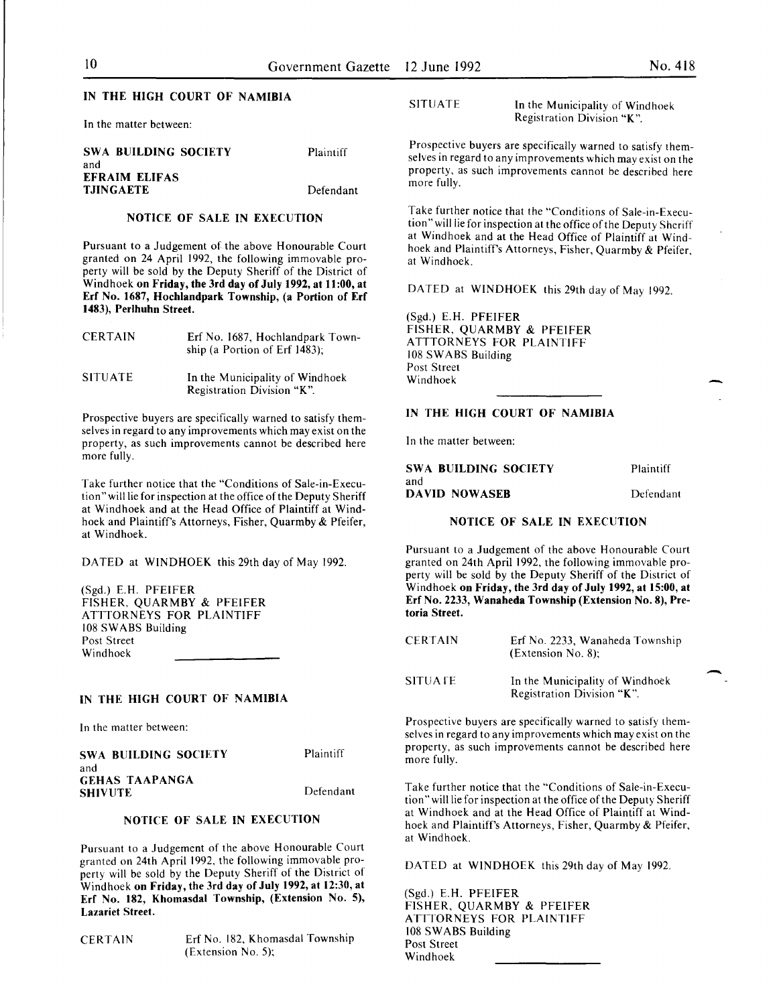### IN THE HIGH COURT OF NAMIBIA

In the matter between:

| SWA BUILDING SOCIETY | Plaintiff |
|----------------------|-----------|
| and                  |           |
| EFRAIM ELIFAS        |           |
| <b>TJINGAETE</b>     | Defendant |

### NOTICE OF SALE IN EXECUTION

Pursuant to a Judgement of the above Honourable Court granted on 24 April 1992, the following immovable property will be sold by the Deputy Sheriff of the District of Windhoek on Friday, the 3rd day of July 1992, at 11:00, at Erf No. 1687, Hochlandpark Township, (a Portion of Erf 1483), Perlhuhn Street.

| <b>CERTAIN</b> | Erf No. 1687, Hochlandpark Town-<br>ship (a Portion of Erf 1483); |
|----------------|-------------------------------------------------------------------|
| SITUATE-       | In the Municipality of Windhoek<br>Registration Division "K".     |

Prospective buyers are specifically warned to satisfy themselves in regard to any improvements which may exist on the property, as such improvements cannot be described here more fully.

Take further notice that the "Conditions of Sale-in-Execution" will lie for inspection at the office of the Deputy Sheriff at Windhoek and at the Head Office of Plaintiff at Windhoek and Plaintiff's Attorneys, Fisher, Quarmby & Pfeifer, at Windhoek.

DATED at WINDHOEK this 29th day of May 1992.

(Sgd.) E.H. PFEIFER FISHER, QUARMBY & PFEIFER ATTTORNEYS FOR PLAINTIFF 108 SWABS Building Post Street Windhoek

### IN THE HIGH COURT OF NAMIBIA

In the matter between:

| SWA BUILDING SOCIETY | Plaintiff |
|----------------------|-----------|
| and                  |           |
| GEHAS TAAPANGA       |           |
| SHIVUTE              | Defendant |
|                      |           |

### NOTICE OF SALE IN EXECUTION

Pursuant to a Judgement of the above Honourable Court granted on 24th April 1992, the following immovable property will be sold by the Deputy Sheriff of the District of Windhoek on Friday, the 3rd day of July 1992, at 12:30, at Erf No. 182, Khomasdal Township, (Extension No. 5), Lazariet Street.

CERTAIN Erf No. 182, Khomasdal Township (Extension No.5);

SITUATE In the Municipality of Windhoek Registration Division "K".

Prospective buyers are specifically warned to satisfy themselves in regard to any improvements which mav exist on the property, as such improvements cannot be described here more fully.

Take further notice that the "Conditions of Sale-in-Execution" will lie for inspection at the office of the Deputy Sheriff at Windhoek and at the Head Office of Plaintiff at Windhoek and Plaintiff's Attorneys, Fisher, Quarmby & Pfeifer, at Windhoek.

DATED at WINDHOEK this 29th day of May 1992.

(Sgd.) E.H. PFEIFER FISHER, QUARMBY & PFEIFER ATTTORNEYS FOR PLAINTIFF 108 SWABS Building Post Street Windhoek

### IN THE HIGH COURT OF NAMIBIA

In the matter between:

| SWA BUILDING SOCIETY | Plaintiff |
|----------------------|-----------|
| and                  |           |
| <b>DAVID NOWASEB</b> | Defendant |

### NOTICE OF SALE IN EXECUTION

Pursuant to a Judgement of the above Honourable Court granted on 24th April 1992, the following immovable property will be sold by the Deputy Sheriff of the District of Windhoek on Friday, the 3rd day of July 1992, at 15:00, at Erf No. 2233, Wanaheda Township (Extension No.8), Pretoria Street.

| <b>CERTAIN</b> | Erf No. 2233, Wanaheda Township<br>$(Extension No. 8)$ ;      |
|----------------|---------------------------------------------------------------|
| <b>SITUATE</b> | In the Municipality of Windhoek<br>Registration Division "K". |

Prospective buyers are specifically warned to satisfy themselves in regard to any improvements which may exist on the property, as such improvements cannot be described here more fully.

Take further notice that the "Conditions of Sale-in-Execution "will lie for inspection at the office of the Deputy Sheriff at Windhoek and at the Head Office of Plaintiff at Windhoek and Plaintiff's Attorneys, Fisher, Quarmby & Pfeifer, at Windhoek.

DATED at WINDHOEK this 29th day of May 1992.

(Sgd.) E.H. PFEIFER FISHER, QUARMBY & PFEIFER ATTTORNEYS FOR PLAINTIFF 108 SWABS Building Post Street Windhoek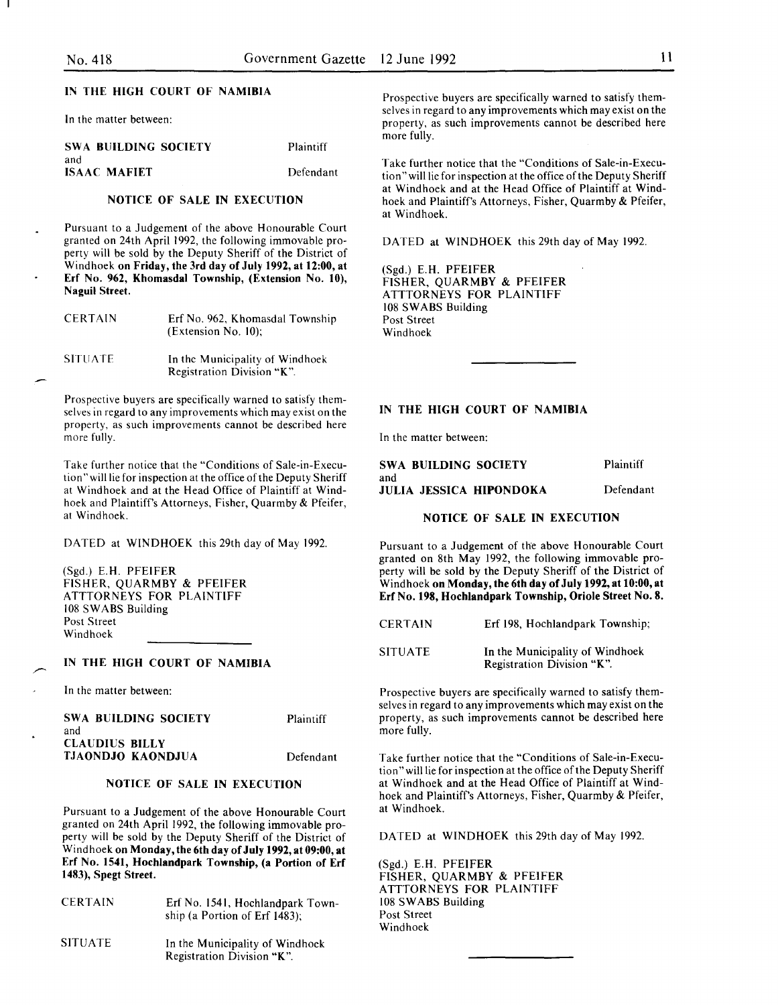### IN THE HIGH COURT OF NAMIBIA

In the matter between:

| SWA BUILDING SOCIETY | Plaintiff |
|----------------------|-----------|
| and                  |           |
| <b>ISAAC MAFIET</b>  | Defendant |

### NOTICE OF SALE IN EXECUTION

Pursuant to a Judgement of the above Honourable Court granted on 24th April 1992, the following immovable property will be sold by the Deputy Sheriff of the District of Windhoek on Friday, the 3rd day of July 1992, at 12:00, at Erf No. 962, Khomasdal Township, (Extension No. 10), Naguil Street.

| <b>CERTAIN</b> | Erf No. 962, Khomasdal Township<br>(Extension No. 10);        |
|----------------|---------------------------------------------------------------|
| <b>SITUATE</b> | In the Municipality of Windhoek<br>Registration Division "K". |

Prospective buyers are specifically warned to satisfy themselves in regard to any improvements which may exist on the property, as such improvements cannot be described here more fully.

Take further notice that the "Conditions of Sale-in-Execution" will lie for inspection at the office of the Deputy Sheriff at Windhoek and at the Head Office of Plaintiff at Windhoek and Plaintiff's Attorneys, Fisher, Quarmby & Pfeifer, at Windhoek.

DATED at WINDHOEK this 29th day of May 1992.

(Sgd.) E.H. PFEIFER FISHER, QUARMBY & PFEIFER ATTTORNEYS FOR PLAINTIFF 108 SWABS Building Post Street Windhoek

### IN THE HIGH COURT OF NAMIBIA

In the matter between:

| SWA BUILDING SOCIETY  | Plaintiff |
|-----------------------|-----------|
| and                   |           |
| <b>CLAUDIUS BILLY</b> |           |
| TJAONDJO KAONDJUA     | Defendant |

### NOTICE OF SALE IN EXECUTION

Pursuant to a Judgement of the above Honourable Court granted on 24th April 1992, the following immovable property will be sold by the Deputy Sheriff of the District of Windhoek on Monday, the 6th day of July 1992, at 09:00, at Erf No. 1541, Hochiandpark Township, (a Portion of Erf 1483), Spegt Street.

| <b>CERTAIN</b> | Erf No. 1541, Hochlandpark Town-<br>ship (a Portion of Erf $1483$ ); |
|----------------|----------------------------------------------------------------------|
| <b>SITUATE</b> | In the Municipality of Windhoek<br>Registration Division "K".        |

Prospective buyers are specifically warned to satisfy themselves in regard to any improvements which may exist on the property, as such improvements cannot be described here more fully.

Take further notice that the "Conditions of Sale-in-Execution" will lie for inspection at the office of the Deputy Sheriff at Windhoek and at the Head Office of Plaintiff at Windhoek and Plaintiff's Attorneys, Fisher, Quarmby & Pfeifer, at Windhoek.

DATED at WINDHOEK this 29th day of May 1992.

(Sgd.) E.H. PFEIFER FISHER, QUARMBY & PFEIFER ATTTORNEYS FOR PLAINTIFF 108 SWABS Building Post Street Windhoek

### IN THE HIGH COURT OF NAMIBIA

In the matter between:

| SWA BUILDING SOCIETY           | Plaintiff |
|--------------------------------|-----------|
| and<br>JULIA JESSICA HIPONDOKA | Defendant |

NOTICE OF SALE IN EXECUTION

Pursuant to a Judgement of the above Honourable Court granted on 8th May 1992, the following immovable property will be sold by the Deputy Sheriff of the District of Windhoek on Monday, the 6th day of July 1992, at 10:00, at Erf No. 198, Hochlandpark Township, Oriole Street No.8.

| <b>CERTAIN</b> | Erf 198, Hochlandpark Township;                               |
|----------------|---------------------------------------------------------------|
| <b>SITUATE</b> | In the Municipality of Windhoek<br>Registration Division "K". |

Prospective buyers are specifically warned to satisfy themselves in regard to any improvements which may exist on the property, as such improvements cannot be described here more fully.

Take further notice that the "Conditions of Sale-in-Execution"willlie for inspection at the office of the Deputy Sheriff at Windhoek and at the Head Office of Plaintiff at Windhoek and Plaintiff's Attorneys, Fisher, Quarmby & Pfeifer, at Windhoek.

DATED at WINDHOEK this 29th day of May 1992.

(Sgd.) E.H. PFEIFER FISHER, QUARMBY & PFEIFER ATTTORNEYS FOR PLAINTIFF 108 SWABS Building Post Street Windhoek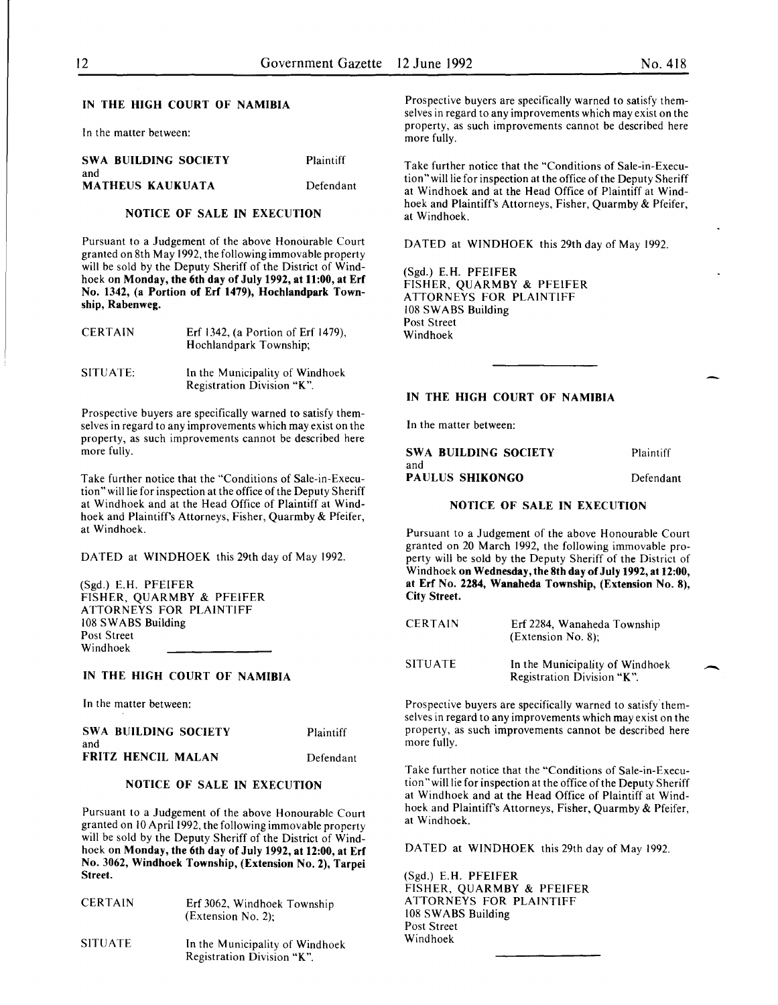### IN THE HIGH COURT OF NAMIBIA

In the matter between:

| SWA BUILDING SOCIETY           | <b>Plaintiff</b> |
|--------------------------------|------------------|
| and<br><b>MATHEUS KAUKUATA</b> | Defendant        |

### NOTICE OF SALE IN EXECUTION

Pursuant to a Judgement of the above Honourable Court granted on 8th May 1992, the following immovable property will be sold by the Deputy Sheriff of the District of Windhoek on Monday, the 6th day of July 1992, at 11:00, at Erf No. 1342, (a Portion of Erf 1479), Hochlandpark Township, Rabenweg.

| <b>CERTAIN</b> | Erf 1342, (a Portion of Erf 1479),<br>Hochlandpark Township;  |
|----------------|---------------------------------------------------------------|
| SITUATE:       | In the Municipality of Windhoek<br>Registration Division "K". |

Prospective buyers are specifically warned to satisfy themselves in regard to any improvements which may exist on the property, as such improvements cannot be described here more fully.

Take further notice that the "Conditions of Sale-in-Execution" will lie for inspection at the office of the Deputy Sheriff at Windhoek and at the Head Office of Plaintiff at Windhoek and Plaintiff's Attorneys, Fisher, Quarmby & Pfeifer, at Windhoek.

DATED at WINDHOEK this 29th day of May 1992.

(Sgd.) E.H. PFEIFER FISHER, QUARMBY & PFEIFER ATTORNEYS FOR PLAINTIFF 108 SWABS Building Post Street Windhoek

### IN THE HIGH COURT OF NAMIBIA

In the matter between:

| <b>SWA BUILDING SOCIETY</b> | Plaintiff |
|-----------------------------|-----------|
| and                         |           |
| FRITZ HENCIL MALAN          | Defendant |

### NOTICE OF SALE IN EXECUTION

Pursuant to a Judgement of the above Honourable Court granted on 10 April 1992, the following immovable property will be sold by the Deputy Sheriff of the District of Windhoek on Monday, the 6th day of July 1992, at 12:00, at Erf No. 3062, Windhoek Township, (Extension No.2), Tarpei Street.

| <b>CERTAIN</b> | Erf 3062, Windhoek Township<br>$(Extension No. 2)$ : |
|----------------|------------------------------------------------------|
| <b>SITUATE</b> | In the Municipality of Windhoek                      |

Registration Division "K".

Prospective buyers are specifically warned to satisfy themselves in regard to any improvements which may exist on the property, as such improvements cannot be described here more fully.

Take further notice that the "Conditions of Sale-in-Execution" will lie for inspection at the office of the Deputy Sheriff at Windhoek and at the Head Office of Plaintiff at Windhoek and Plaintiff's Attorneys, Fisher, Quarmby & Pfeifer, at Windhoek.

DATED at WINDHOEK this 29th day of May 1992.

(Sgd.) E.H. PFEIFER FISHER, QUARMBY & PFEIFER ATTORNEYS FOR PLAINTIFF 108 SWABS Building Post Street Windhoek

### IN THE HIGH COURT OF NAMIBIA

In the matter between:

| <b>SWA BUILDING SOCIETY</b> | Plaintiff |
|-----------------------------|-----------|
| and                         |           |
| PAULUS SHIKONGO             | Defendant |

#### NOTICE OF SALE IN EXECUTION

Pursuant to a Judgement of the above Honourable Court granted on 20 March 1992, the following immovable property will be sold by the Deputy Sheriff of the District of Windhoek on Wednesday, the 8th day of July 1992, at 12:00, at Erf No. 2284, Wanaheda Township, (Extension No.8), City Street.

| <b>CERTAIN</b> | Erf 2284, Wanaheda Township<br>$(Extension No. 8)$ ;          |
|----------------|---------------------------------------------------------------|
| <b>SITUATE</b> | In the Municipality of Windhoek<br>Registration Division "K". |

Prospective buyers are specifically warned to satisfy'themselves in regard to any improvements which may exist on the property, as such improvements cannot be described here more fully.

Take further notice that the "Conditions of Sale-in-Execution "will lie for inspection at the office of the Deputy Sheriff at Windhoek and at the Head Office of Plaintiff at Windhoek and Plaintiff's Attorneys, Fisher, Quarmby & Pfeifer, at Windhoek.

DATED at WINDHOEK this 29th day of May 1992.

(Sgd.) E.H. PFEIFER FISHER, QUARMBY & PFEIFER ATTORNEYS FOR PLAINTIFF 108 SWABS Building Post Street Windhoek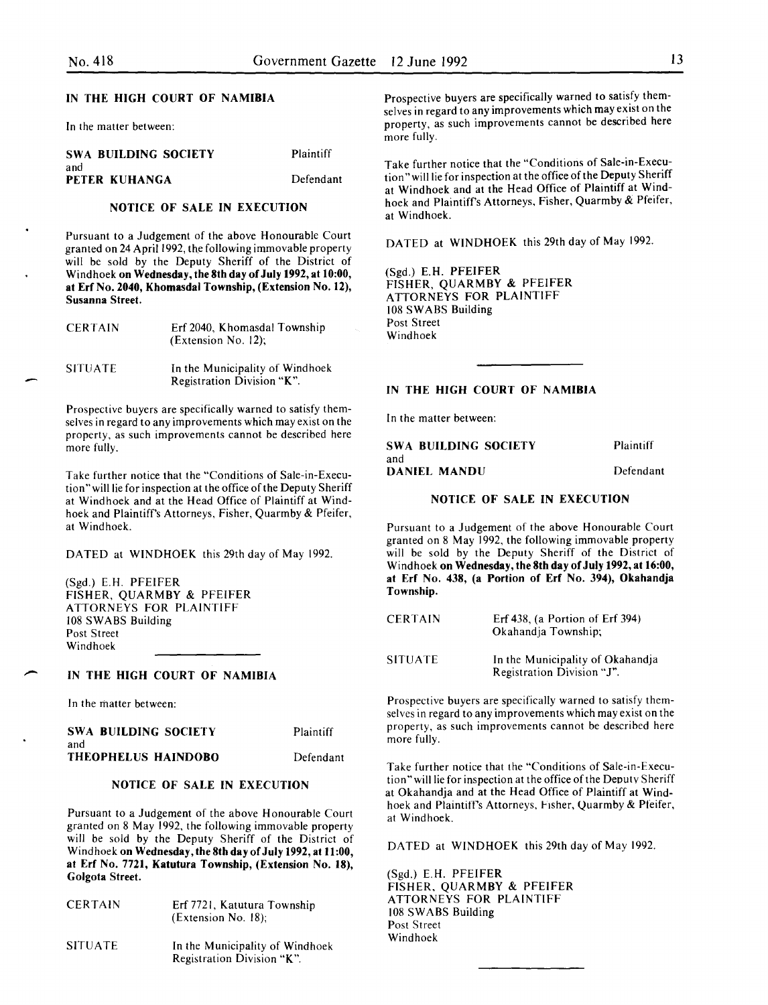| <b>SWA BUILDING SOCIETY</b> | Plaintiff |
|-----------------------------|-----------|
| and<br>PETER KUHANGA        | Defendant |

### NOTICE OF SALE IN EXECUTION

Pursuant to a Judgement of the above Honourable Court granted on 24 April 1992, the following immovable property will be sold by the Deputy Sheriff of the District of Windhoek on Wednesday, the 8th day of July 1992, at 10:00, at Erf No. 2040, Khomasdal Township, (Extension No. 12), Susanna Street.

| <b>CERTAIN</b> | Erf 2040, Khomasdal Township<br>(Extension No. 12);           |
|----------------|---------------------------------------------------------------|
| <b>SITUATE</b> | In the Municipality of Windhoek<br>Registration Division "K". |

Prospective buyers are specifically warned to satisfy themselves in regard to any improvements which may exist on the property, as such improvements cannot be described here more fully.

Take further notice that the "Conditions of Sale-in-Execution" will lie for inspection at the office of the Deputy Sheriff at Windhoek and at the Head Office of Plaintiff at Windhoek and Plaintiff's Attorneys, Fisher, Quarmby & Pfeifer, at Windhoek.

DATED at WINDHOEK this 29th day of May 1992.

(Sgd.) E.H. PFEIFER FISHER, QUARMBY & PFEIFER ATTORNEYS FOR PLAINTIFF 108 SWABS Building Post Street Windhoek

# $\overline{\phantom{a}}$ IN THE HIGH COURT OF NAMIBIA

In the matter between:

| <b>SWA BUILDING SOCIETY</b> | Plaintiff |
|-----------------------------|-----------|
| and                         |           |
| THEOPHELUS HAINDOBO         | Defendant |

### NOTICE OF SALE IN EXECUTION

Pursuant to a Judgement of the above Honourable Court granted on 8 May 1992, the following immovable property will be sold by the Deputy Sheriff of the District of Windhoek on Wednesday, the 8th day of July 1992, at 11:00, at Erf No. 7721, Katutura Township, (Extension No. 18), Golgota Street.

| <b>CERTAIN</b> | Erf 7721, Katutura Township<br>$(Extension No. 18)$ ;         |
|----------------|---------------------------------------------------------------|
| <b>SITUATE</b> | In the Municipality of Windhoek<br>Registration Division "K". |

IN THE HIGH COURT OF NAMIBIA Prospective buyers are specifically warned to satisfy themselves in regard to any improvements which may exist on the In the matter between: https://www.matter.com/enterproperty, as such improvements cannot be described here more fully.

> Take further notice that the "Conditions of Sale-in-Execution" will lie for inspection at the office of the Deputy Sheriff at Windhoek and at the Head Office of Plaintiff at Windhoek and Plaintiff's Attorneys, Fisher, Quarmby & Pfeifer, at Windhoek.

DATED at WINDHOEK this 29th day of May 1992.

(Sgd.) E.H. PFEIFER FISHER, QUARMBY & PFEIFER ATTORNEYS FOR PLAINTIFF 108 SWABS Building Post Street Windhoek

### IN THE HIGH COURT OF NAMIBIA

In the matter between:

| SWA BUILDING SOCIETY | Plaintiff |
|----------------------|-----------|
| and                  |           |
| DANIEL MANDU-        | Defendant |

### NOTICE OF SALE IN EXECUTION

Pursuant to a Judgement of the above Honourable Court granted on 8 May 1992, the following immovable property will be sold by the Deputy Sheriff of the District of Windhoek on Wednesday, the 8th day of July 1992, at 16:00, at Erf No. 438, (a Portion of Erf No. 394), Okahandja Township.

| <b>CERTAIN</b> | Erf $438$ , (a Portion of Erf $394$ )<br>Okahandja Township;   |
|----------------|----------------------------------------------------------------|
| <b>SITUATE</b> | In the Municipality of Okahandja<br>Registration Division "J". |

Prospective buyers are specifically warned to satisfy themselves in regard to any improvements which may exist on the property, as such improvements cannot be described here more fully.

Take further notice that the "Conditions of Sale-in-Execution" will lie for inspection at the office of the Deputy Sheriff at Okahandja and at the Head Office of Plaintiff at Windhoek and Plaintiff's Attorneys, Fisher, Quarmby & Pfeifer, at Windhoek.

DATED at WINDHOEK this 29th day of May 1992.

(Sgd.) E.H. PFEIFER FISHER, QUARMBY & PFEIFER ATTORNEYS FOR PLAINTIFF 108 SWABS Building Post Street Windhoek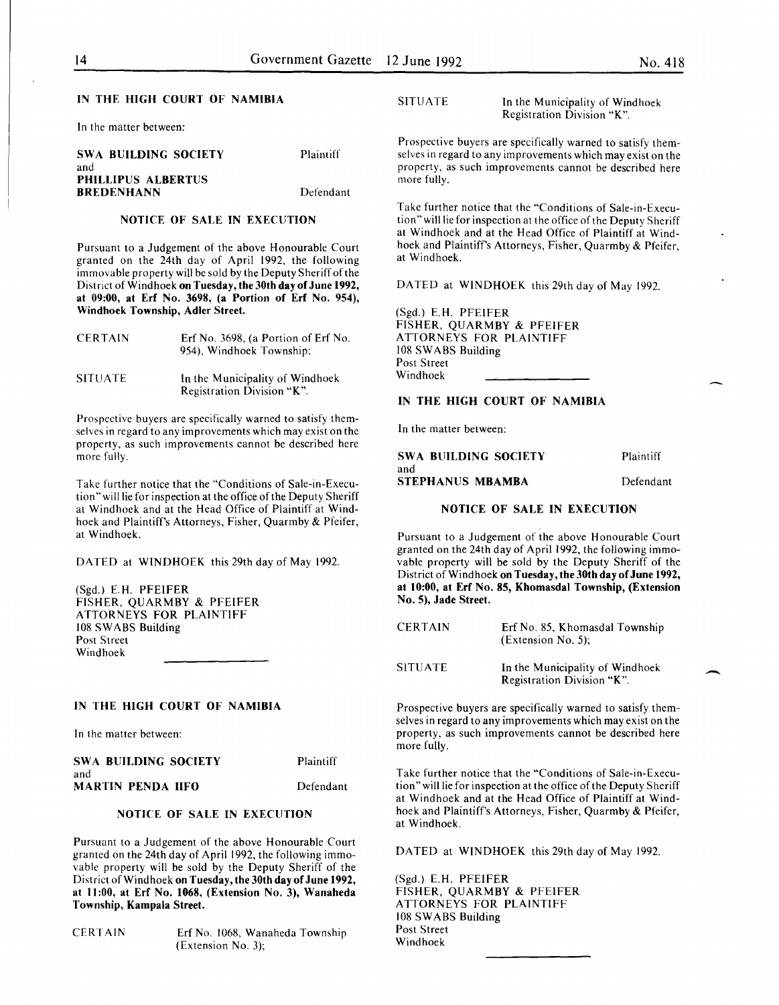### IN THE HIGH COURT OF NAMIBIA

In the matter between:

| SWA BUILDING SOCIETY      | Plaintiff |
|---------------------------|-----------|
| and                       |           |
| <b>PHILLIPUS ALBERTUS</b> |           |
| <b>BREDENHANN</b>         | Defendant |

#### NOTICE OF SALE IN EXECUTION

Pursuant to a Judgement of the above Honourable Court granted on the 24th day of April 1992, the following immovable property will be sold by the Deputy Sheriff of the District of Windhoek on Tuesday, the 30th day of June 1992, at 09:00, at Erf No. 3698, (a Portion of Erf No. 954), Windhoek Township, Adler Street.

| <b>CERTAIN</b> | Erf No. 3698, (a Portion of Erf No.<br>954), Windhoek Township; |
|----------------|-----------------------------------------------------------------|
| <b>SITUATE</b> | In the Municipality of Windhoek<br>Registration Division "K".   |

Prospective buyers are specifically warned to satisfy themselves in regard to any improvements which may exist on the property, as such improvements cannot be described here more fully.

Take further notice that the "Conditions of Sale-in-Execution" will lie for inspection at the office of the Deputy Sheriff at Windhoek and at the Head Office of Plaintiff at Windhoek and Plaintiff's Attorneys, Fisher, Quarmby & Pfeifer, at Windhoek.

DATED at WINDHOEK this 29th day of May 1992.

(Sgd.) E. H. PFEIFER FISHER, QUARMBY & PFEIFER ATTORNEYS FOR PLAINTIFF 108 SWABS Building Post Street Windhoek

| SWA BUILDING SOCIETY | Plaintiff |
|----------------------|-----------|
| and                  |           |
| MARTIN PENDA IIFO    | Defendant |

### NOTICE OF SALE IN EXECUTION

Pursuant to a Judgement of the above Honourable Court granted on the 24th day of April 1992, the following immovable property will be sold by the Deputy Sheriff of the District of Windhoek on Tuesday, the 30th day of June 1992, at II :00, at Erf No. 1068, (Extension No. 3), Wanaheda Township, Kampala Street.

CERTAIN Erf No. 1068, Wanaheda Township (Extension No. 3);

### SITUATE In the Municipality of Windhoek Registration Division "K".

Prospective buyers are specifically warned to satisfy themselves in regard to any improvements which may exist on the property, as such improvements cannot be described here more fully.

Take further notice that the "Conditions of Sale-in-Execution" will lie for inspection at the office of the Deputy Sheriff at Windhoek and at the Head Office of Plaintiff at Windhoek and Plaintiff's Attorneys, Fisher, Quarmby & Pfeifer, at Windhoek.

DATED at WINDHOEK this 29th day of May 1992.

(Sgd.) E.H. PFEIFER FISHER, QUARMBY & PFEIFER ATTORNEYS FOR PLAINTIFF 108 SWABS Building Post Street Windhoek

### IN THE HIGH COURT OF NAMIBIA

In the matter between:

| SWA BUILDING SOCIETY | Plaintiff |
|----------------------|-----------|
| and                  |           |
| STEPHANUS MBAMBA     | Defendant |

### NOTICE OF SALE IN EXECUTION

Pursuant to a Judgement of the above Honourable Court granted on the 24th day of April 1992, the following immovable property will be sold by the Deputy Sheriff of the District of Windhoek on Tuesday, the 30th day of June 1992, at 10:00, at Erf No. 85, Khomasdal Township, (Extension No. 5), Jade Street.

| <b>CERTAIN</b> | Erf No. 85, Khomasdal Township<br>$(Extension No. 5)$ ;       |
|----------------|---------------------------------------------------------------|
| SITUATE        | In the Municipality of Windhoek<br>Registration Division "K". |

IN THE HIGH COURT OF NAMIBIA Prospective buyers are specifically warned to satisfy themselves in regard to any improvements which may exist on the In the matter between: property, as such improvements cannot be described here more fully.

> Take further notice that the "Conditions of Sale-in-Execution" will lie for inspection at the office of the Deputy Sheriff at Windhoek and at the Head Office of Plaintiff at Windhoek and Plaintiff's Attorneys, Fisher, Quarmby & Pfeifer, at Windhoek.

DATED at WINDHOEK this 29th day of May 1992.

(Sgd.) E.H. PFEIFER FISHER, QUARMBY & PFEIFER ATTORNEYS FOR PLAINTIFF 108 SWABS Building Post Street Windhoek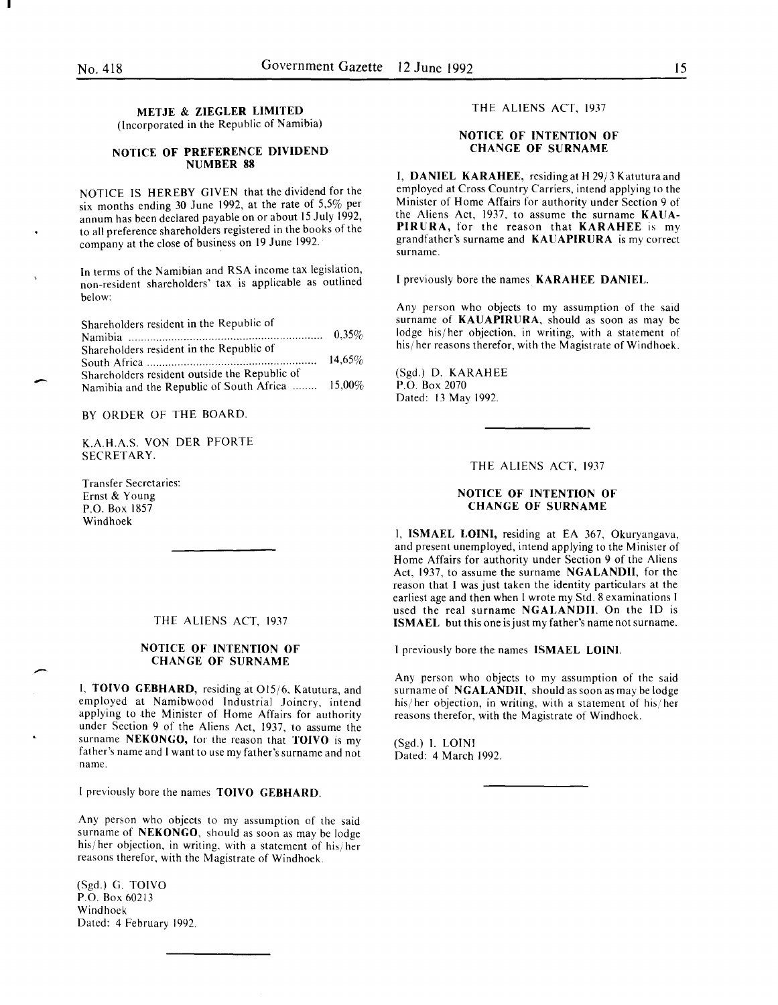### **METJE & ZIEGLER LIMITED**  (Incorporated in the Republic of Namibia)

### **NOTICE OF PREFERENCE DIVIDEND NUMBER 88**

NOTICE IS HEREBY GIVEN that the dividend for the six months ending 30 June 1992, at the rate of 5,5% per annum has been declared payable on or about 15 July 1992, to all preference shareholders registered in the books of the company at the close of business on 19 June 1992.

In terms of the Namibian and RSA income tax legislation, non-resident shareholders' tax is applicable as outlined below:

Shareholders resident in the Republic of

| Shareholders resident in the Republic of         |        |
|--------------------------------------------------|--------|
|                                                  | 14.65% |
| Shareholders resident outside the Republic of    |        |
| Namibia and the Republic of South Africa  15,00% |        |

### BY ORDER OF THE BOARD.

K.A.H.A.S. VON DER PFORTE SECRETARY.

Transfer Secretaries: Ernst & Young P.O. Box 1857 Windhoek

-

-

#### THE ALIENS ACT, 1937

### **NOTICE OF INTENTION OF CHANGE OF SURNAME**

I, **TOIVO GEBHARD,** residing at 015/6. Katutura, and employed at Namibwood Industrial Joinery, intend applymg to the Minister of Home Affairs for authority under Section 9 of the Aliens Act, 1937, to assume the surname **NEKONGO,** tor the reason that **TOIVO** is my father's name and I want to use my father's surname and not name.

I previously bore the names **TOIVO GEBHARD.** 

Any person who objects to my assumption of the said surname of **NEKONGO,** should as soon as may be lodge his/her objection, in writing, with a statement of his/her reasons therefor, with the Magistrate of Windhoek. '

(Sgd.) G. TOIVO P.O. Box 60213 Windhoek Dated: 4 February 1992.

### THE ALIENS ACT, 1937

### **NOTICE OF INTENTION OF CHANGE OF SURNAME**

I, **DANIEL KARAHEE,** residing at **H** 29/3 Katuturaand employed at Cross Country Carriers, intend applying to the Minister of Home Affairs for authority under Section 9 of the Aliens Act, 1937, to assume the surname **KAUA-PIRURA,** for the reason that **KARAHEE** is my grandfather's surname and **KAUAPIRURA** is my correct surname.

I previously bore the names **KARAHEE DANIEL.** 

Any person who objects to my assumption of the said surname of **KAUAPIRURA,** should as soon as may be lodge his/her objection, in writing, with a statement of his/her reasons therefor, with the Magistrate of Windhoek.

(Sgd.) D. KARAHEE P.O. Box 2070 Dated: 13 May 1992.

THE ALIENS ACT, 1937

### **NOTICE OF INTENTION OF CHANGE OF SURNAME**

I, **ISMAEL LOINI,** residing at EA 367, Okuryangava, and present unemployed, intend applying to the Minister of Home Affairs for authority under Section 9 of the Aliens Act, 1937, to assume the surname **NGALANDII,** for the reason that I was just taken the identity particulars at the earliest age and then when I wrote my Std. 8 examinations I used the real surname **NGALANDII.** On the ID is **ISMAEL** but this one is just my father's name not surname.

I previously bore the names **ISMAEL LOINI.** 

Any person who objects to my assumption of the said surname of **NGALANDII,** should as soon as may be lodge his/ her objection, in writing, with a statement of his/ her reasons therefor, with the Magistrate of Windhoek.

(Sgd.) I. LOIN! Dated: 4 March 1992.